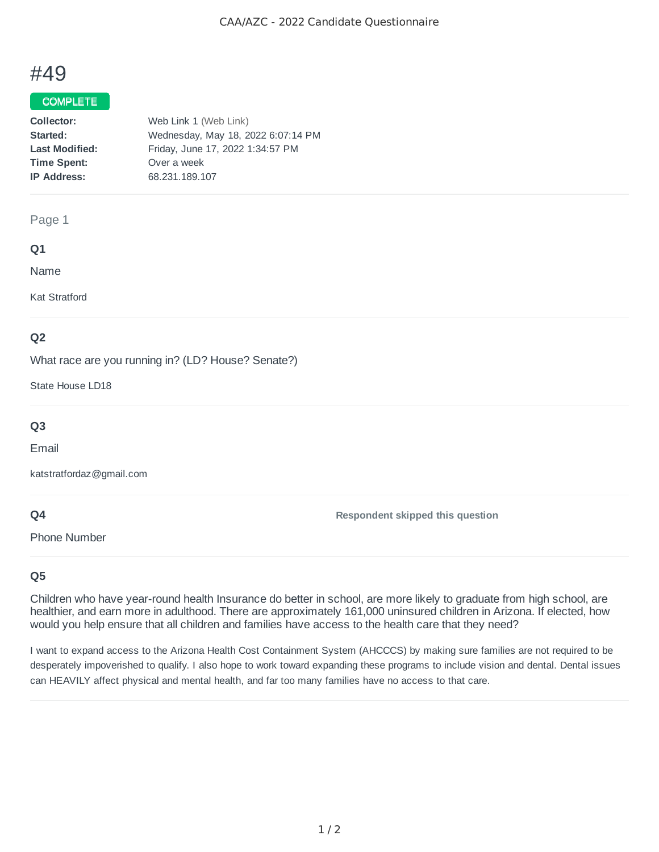# #49

## COMPLETE

| Collector:            | Web Link 1 (Web Link)              |
|-----------------------|------------------------------------|
| Started:              | Wednesday, May 18, 2022 6:07:14 PM |
| <b>Last Modified:</b> | Friday, June 17, 2022 1:34:57 PM   |
| <b>Time Spent:</b>    | Over a week                        |
| <b>IP Address:</b>    | 68.231.189.107                     |
|                       |                                    |

#### Page 1

## **Q1**

Name

Kat Stratford

## **Q2**

What race are you running in? (LD? House? Senate?)

State House LD18

# **Q3**

Email

katstratfordaz@gmail.com

## **Q4**

Phone Number

## **Q5**

Children who have year-round health Insurance do better in school, are more likely to graduate from high school, are healthier, and earn more in adulthood. There are approximately 161,000 uninsured children in Arizona. If elected, how would you help ensure that all children and families have access to the health care that they need?

**Respondent skipped this question**

I want to expand access to the Arizona Health Cost Containment System (AHCCCS) by making sure families are not required to be desperately impoverished to qualify. I also hope to work toward expanding these programs to include vision and dental. Dental issues can HEAVILY affect physical and mental health, and far too many families have no access to that care.